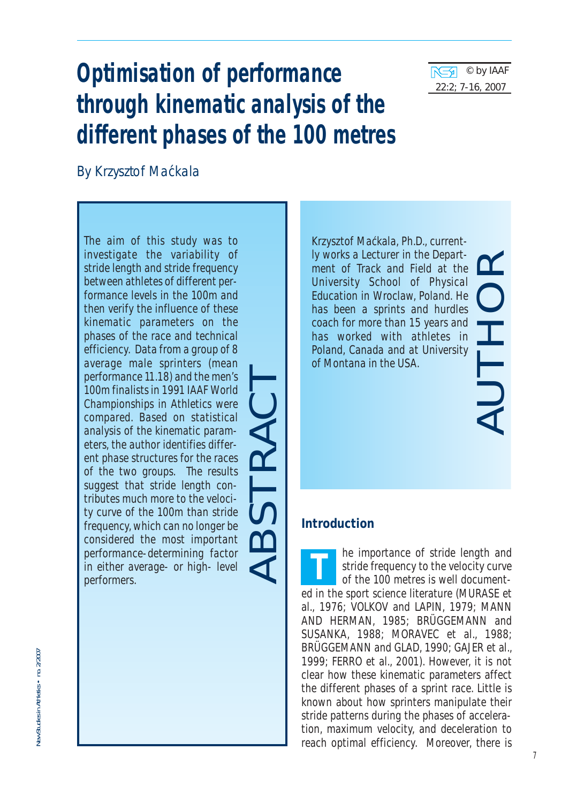

# **Optimisation of performance through kinematic analysis of the different phases of the 100 metres**

By Krzysztof Mackala ´

*The aim of this study was to investigate the variability of stride length and stride frequency between athletes of different performance levels in the 100m and then verify the influence of these kinematic parameters on the phases of the race and technical efficiency. Data from a group of 8 average male sprinters (mean performance 11.18) and the men's 100m finalists in 1991 IAAF World Championships in Athletics were compared. Based on statistical analysis of the kinematic parameters, the author identifies different phase structures for the races of the two groups. The results suggest that stride length contributes much more to the velocity curve of the 100m than stride frequency, which can no longer be considered the most important performance-determining factor in either average- or high- level performers.* 

ABSTRACT

*Krzysztof Mackala, Ph.D., current-´ly works a Lecturer in the Department of Track and Field at the University School of Physical Education in Wroclaw, Poland. He has been a sprints and hurdles coach for more than 15 years and has worked with athletes in Poland, Canada and at University of Montana in the USA.*

# AUTHOR

# **Introduction**

he importance of stride length and stride frequency to the velocity curve of the 100 metres is well documented in the sport science literature (MURASE et al., 1976; VOLKOV and LAPIN, 1979; MANN AND HERMAN, 1985; BRÜGGEMANN and SUSANKA, 1988; MORAVEC et al., 1988; BRÜGGEMANN and GLAD, 1990; GAJER et al., 1999; FERRO et al., 2001). However, it is not clear how these kinematic parameters affect the different phases of a sprint race. Little is known about how sprinters manipulate their stride patterns during the phases of acceleration, maximum velocity, and deceleration to reach optimal efficiency. Moreover, there is **T**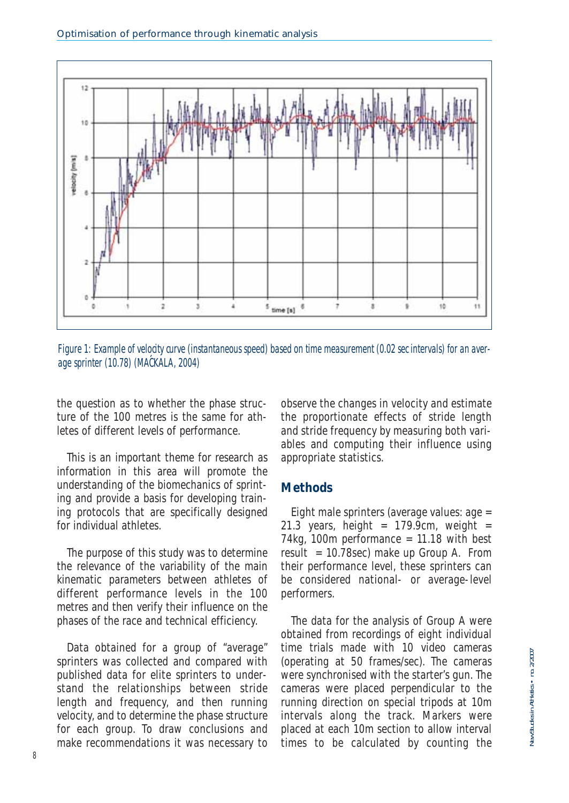

Figure 1: Example of velocity curve (instantaneous speed) based on time measurement (0.02 sec intervals) for an average sprinter (10.78) (MACKALA, 2004) **´**

the question as to whether the phase structure of the 100 metres is the same for athletes of different levels of performance.

This is an important theme for research as information in this area will promote the understanding of the biomechanics of sprinting and provide a basis for developing training protocols that are specifically designed for individual athletes.

The purpose of this study was to determine the relevance of the variability of the main kinematic parameters between athletes of different performance levels in the 100 metres and then verify their influence on the phases of the race and technical efficiency.

Data obtained for a group of "average" sprinters was collected and compared with published data for elite sprinters to understand the relationships between stride length and frequency, and then running velocity, and to determine the phase structure for each group. To draw conclusions and make recommendations it was necessary to observe the changes in velocity and estimate the proportionate effects of stride length and stride frequency by measuring both variables and computing their influence using appropriate statistics.

### **Methods**

Eight male sprinters (average values: age = 21.3 years, height =  $179.9cm$ , weight = 74kg, 100m performance  $= 11.18$  with best result =  $10.78$ sec) make up Group A. From their performance level, these sprinters can be considered national- or average-level performers.

The data for the analysis of Group A were obtained from recordings of eight individual time trials made with 10 video cameras (operating at 50 frames/sec). The cameras were synchronised with the starter's gun. The cameras were placed perpendicular to the running direction on special tripods at 10m intervals along the track. Markers were placed at each 10m section to allow interval times to be calculated by counting the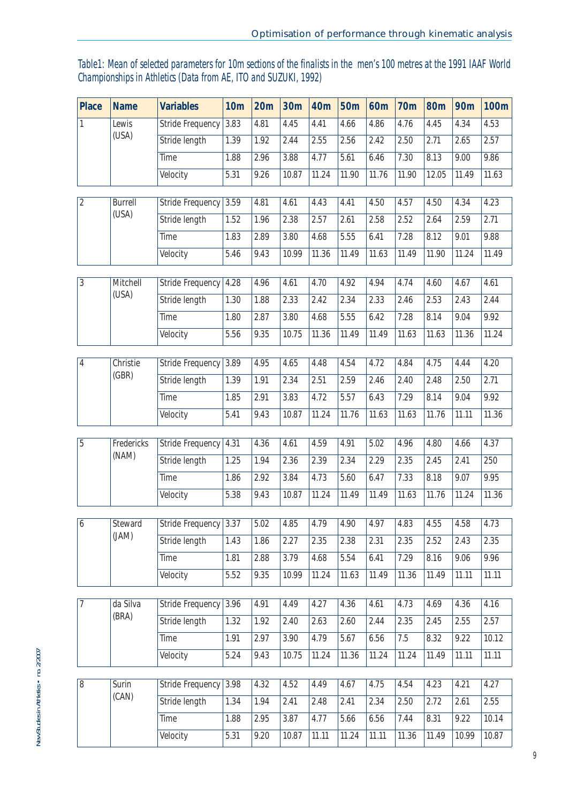# Table1: Mean of selected parameters for 10m sections of the finalists in the men's 100 metres at the 1991 IAAF World Championships in Athletics (Data from AE, ITO and SUZUKI, 1992)

| Place          | <b>Name</b>       | <b>Variables</b>                  | 10 <sub>m</sub> | 20m  | 30m           | 40m   | 50 <sub>m</sub> | 60 <sub>m</sub> | <b>70m</b>    | <b>80m</b> | <b>90m</b>   | 100 <sub>m</sub> |
|----------------|-------------------|-----------------------------------|-----------------|------|---------------|-------|-----------------|-----------------|---------------|------------|--------------|------------------|
| 1              | Lewis             | <b>Stride Frequency</b>           | 3.83            | 4.81 | 4.45          | 4.41  | 4.66            | 4.86            | 4.76          | 4.45       | 4.34         | 4.53             |
|                | (USA)             | Stride length                     | 1.39            | 1.92 | 2.44          | 2.55  | 2.56            | 2.42            | 2.50          | 2.71       | 2.65         | 2.57             |
|                |                   | Time                              | 1.88            | 2.96 | 3.88          | 4.77  | 5.61            | 6.46            | 7.30          | 8.13       | 9.00         | 9.86             |
|                |                   | Velocity                          | 5.31            | 9.26 | 10.87         | 11.24 | 11.90           | 11.76           | 11.90         | 12.05      | 11.49        | 11.63            |
| $\overline{2}$ | Burrell           | Stride Frequency                  | 3.59            | 4.81 | 4.61          | 4.43  | 4.41            | 4.50            | 4.57          | 4.50       | 4.34         | 4.23             |
|                | (USA)             | Stride length                     | 1.52            | 1.96 | 2.38          | 2.57  | 2.61            | 2.58            | 2.52          | 2.64       | 2.59         | 2.71             |
|                |                   | Time                              | 1.83            | 2.89 | 3.80          | 4.68  | 5.55            | 6.41            | 7.28          | 8.12       | 9.01         | 9.88             |
|                |                   | Velocity                          | 5.46            | 9.43 | 10.99         | 11.36 | 11.49           | 11.63           | 11.49         | 11.90      | 11.24        | 11.49            |
|                |                   |                                   |                 |      |               |       |                 |                 |               |            |              |                  |
| 3              | Mitchell<br>(USA) | Stride Frequency                  | 4.28            | 4.96 | 4.61          | 4.70  | 4.92            | 4.94            | 4.74          | 4.60       | 4.67         | 4.61             |
|                |                   | Stride length                     | 1.30            | 1.88 | 2.33          | 2.42  | 2.34            | 2.33            | 2.46          | 2.53       | 2.43         | 2.44             |
|                |                   | Time                              | 1.80            | 2.87 | 3.80          | 4.68  | 5.55            | 6.42            | 7.28          | 8.14       | 9.04         | 9.92             |
|                |                   | Velocity                          | 5.56            | 9.35 | 10.75         | 11.36 | 11.49           | 11.49           | 11.63         | 11.63      | 11.36        | 11.24            |
| 4              | Christie          | <b>Stride Frequency</b>           | 3.89            | 4.95 | 4.65          | 4.48  | 4.54            | 4.72            | 4.84          | 4.75       | 4.44         | 4.20             |
|                | (GBR)             | Stride length                     | 1.39            | 1.91 | 2.34          | 2.51  | 2.59            | 2.46            | 2.40          | 2.48       | 2.50         | 2.71             |
|                |                   | Time                              | 1.85            | 2.91 | 3.83          | 4.72  | 5.57            | 6.43            | 7.29          | 8.14       | 9.04         | 9.92             |
|                |                   | Velocity                          | 5.41            | 9.43 | 10.87         | 11.24 | 11.76           | 11.63           | 11.63         | 11.76      | 11.11        | 11.36            |
| 5              | Fredericks        |                                   |                 | 4.36 |               | 4.59  | 4.91            | 5.02            | 4.96          | 4.80       |              | 4.37             |
|                | (NAM)             | Stride Frequency<br>Stride length | 4.31<br>1.25    | 1.94 | 4.61<br>2.36  | 2.39  | 2.34            | 2.29            | 2.35          | 2.45       | 4.66<br>2.41 | 250              |
|                |                   | Time                              |                 | 2.92 |               | 4.73  | 5.60            | 6.47            |               | 8.18       | 9.07         | 9.95             |
|                |                   | Velocity                          | 1.86<br>5.38    | 9.43 | 3.84<br>10.87 | 11.24 | 11.49           | 11.49           | 7.33<br>11.63 | 11.76      | 11.24        | 11.36            |
|                |                   |                                   |                 |      |               |       |                 |                 |               |            |              |                  |
| 6              | Steward           | <b>Stride Frequency</b>           | 3.37            | 5.02 | 4.85          | 4.79  | 4.90            | 4.97            | 4.83          | 4.55       | 4.58         | 4.73             |
|                | (JAM)             | Stride length                     | 1.43            | 1.86 | 2.27          | 2.35  | 2.38            | 2.31            | 2.35          | 2.52       | 2.43         | 2.35             |
|                |                   | Time                              | 1.81            | 2.88 | 3.79          | 4.68  | 5.54            | 6.41            | 7.29          | 8.16       | 9.06         | 9.96             |
|                |                   | Velocity                          | 5.52            | 9.35 | 10.99         | 11.24 | 11.63           | 11.49           | 11.36         | 11.49      | 11.11        | 11.11            |
| 7              | da Silva          | Stride Frequency                  | 3.96            | 4.91 | 4.49          | 4.27  | 4.36            | 4.61            | 4.73          | 4.69       | 4.36         | 4.16             |
|                | (BRA)             | Stride length                     | 1.32            | 1.92 | 2.40          | 2.63  | 2.60            | 2.44            | 2.35          | 2.45       | 2.55         | 2.57             |
|                |                   | Time                              | 1.91            | 2.97 | 3.90          | 4.79  | 5.67            | 6.56            | 7.5           | 8.32       | 9.22         | 10.12            |
|                |                   | Velocity                          | 5.24            | 9.43 | 10.75         | 11.24 | 11.36           | 11.24           | 11.24         | 11.49      | 11.11        | 11.11            |
|                |                   |                                   |                 |      |               |       |                 |                 |               |            |              |                  |
| 8              | Surin             | Stride Frequency                  | 3.98            | 4.32 | 4.52          | 4.49  | 4.67            | 4.75            | 4.54          | 4.23       | 4.21         | 4.27             |
|                | (CAN)             | Stride length                     | 1.34            | 1.94 | 2.41          | 2.48  | 2.41            | 2.34            | 2.50          | 2.72       | 2.61         | 2.55             |
|                |                   | Time                              | 1.88            | 2.95 | 3.87          | 4.77  | 5.66            | 6.56            | 7.44          | 8.31       | 9.22         | 10.14            |
|                |                   | Velocity                          | 5.31            | 9.20 | 10.87         | 11.11 | 11.24           | 11.11           | 11.36         | 11.49      | 10.99        | 10.87            |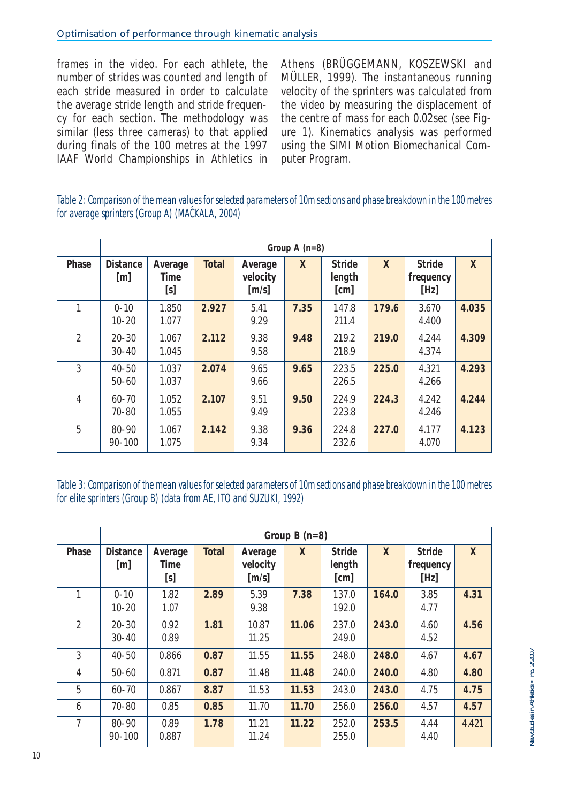frames in the video. For each athlete, the number of strides was counted and length of each stride measured in order to calculate the average stride length and stride frequency for each section. The methodology was similar (less three cameras) to that applied during finals of the 100 metres at the 1997 IAAF World Championships in Athletics in Athens (BRÜGGEMANN, KOSZEWSKI and MÜLLER, 1999). The instantaneous running velocity of the sprinters was calculated from the video by measuring the displacement of the centre of mass for each 0.02sec (see Figure 1). Kinematics analysis was performed using the SIMI Motion Biomechanical Computer Program.

### Table 2: Comparison of the mean values for selected parameters of 10m sections and phase breakdown in the 100 metres for average sprinters (Group A) (MACKALA, 2004) **´**

|                | Group A $(n=8)$                      |                        |       |                                                   |      |                          |       |                             |       |  |
|----------------|--------------------------------------|------------------------|-------|---------------------------------------------------|------|--------------------------|-------|-----------------------------|-------|--|
| Phase          | <b>Distance</b><br>$\lceil m \rceil$ | Average<br>Time<br>[s] | Total | Average<br>velocity<br>$\left[\frac{m}{s}\right]$ | X    | Stride<br>length<br>[cm] | X     | Stride<br>frequency<br>[Hz] | X     |  |
| 1              | $0 - 10$<br>$10 - 20$                | 1.850<br>1.077         | 2.927 | 5.41<br>9.29                                      | 7.35 | 147.8<br>211.4           | 179.6 | 3.670<br>4.400              | 4.035 |  |
| $\mathfrak{D}$ | $20 - 30$<br>$30 - 40$               | 1.067<br>1.045         | 2.112 | 9.38<br>9.58                                      | 9.48 | 219.2<br>218.9           | 219.0 | 4.244<br>4.374              | 4.309 |  |
| 3              | $40 - 50$<br>$50 - 60$               | 1.037<br>1.037         | 2.074 | 9.65<br>9.66                                      | 9.65 | 223.5<br>226.5           | 225.0 | 4.321<br>4.266              | 4.293 |  |
| 4              | $60 - 70$<br>$70 - 80$               | 1.052<br>1.055         | 2.107 | 9.51<br>9.49                                      | 9.50 | 224.9<br>223.8           | 224.3 | 4.242<br>4.246              | 4.244 |  |
| 5              | $80 - 90$<br>$90 - 100$              | 1.067<br>1.075         | 2.142 | 9.38<br>9.34                                      | 9.36 | 224.8<br>232.6           | 227.0 | 4.177<br>4.070              | 4.123 |  |

Table 3: Comparison of the mean values for selected parameters of 10m sections and phase breakdown in the 100 metres for elite sprinters (Group B) (data from AE, ITO and SUZUKI, 1992)

|                |                         | Group $B(n=8)$         |       |                                            |       |                                 |              |                             |              |  |  |
|----------------|-------------------------|------------------------|-------|--------------------------------------------|-------|---------------------------------|--------------|-----------------------------|--------------|--|--|
| Phase          | <b>Distance</b><br>[m]  | Average<br>Time<br>[s] | Total | Average<br>velocity<br>$\lceil m/s \rceil$ | X     | <b>Stride</b><br>length<br>[cm] | $\mathsf{X}$ | Stride<br>frequency<br>[Hz] | $\mathsf{X}$ |  |  |
|                | $0 - 10$<br>$10 - 20$   | 1.82<br>1.07           | 2.89  | 5.39<br>9.38                               | 7.38  | 137.0<br>192.0                  | 164.0        | 3.85<br>4.77                | 4.31         |  |  |
| $\mathcal{P}$  | $20 - 30$<br>$30 - 40$  | 0.92<br>0.89           | 1.81  | 10.87<br>11.25                             | 11.06 | 237.0<br>249.0                  | 243.0        | 4.60<br>4.52                | 4.56         |  |  |
| 3              | $40 - 50$               | 0.866                  | 0.87  | 11.55                                      | 11.55 | 248.0                           | 248.0        | 4.67                        | 4.67         |  |  |
| 4              | $50 - 60$               | 0.871                  | 0.87  | 11.48                                      | 11.48 | 240.0                           | 240.0        | 4.80                        | 4.80         |  |  |
| 5              | $60 - 70$               | 0.867                  | 8.87  | 11.53                                      | 11.53 | 243.0                           | 243.0        | 4.75                        | 4.75         |  |  |
| 6              | $70 - 80$               | 0.85                   | 0.85  | 11.70                                      | 11.70 | 256.0                           | 256.0        | 4.57                        | 4.57         |  |  |
| $\overline{7}$ | $80 - 90$<br>$90 - 100$ | 0.89<br>0.887          | 1.78  | 11.21<br>11.24                             | 11.22 | 252.0<br>255.0                  | 253.5        | 4.44<br>4.40                | 4.421        |  |  |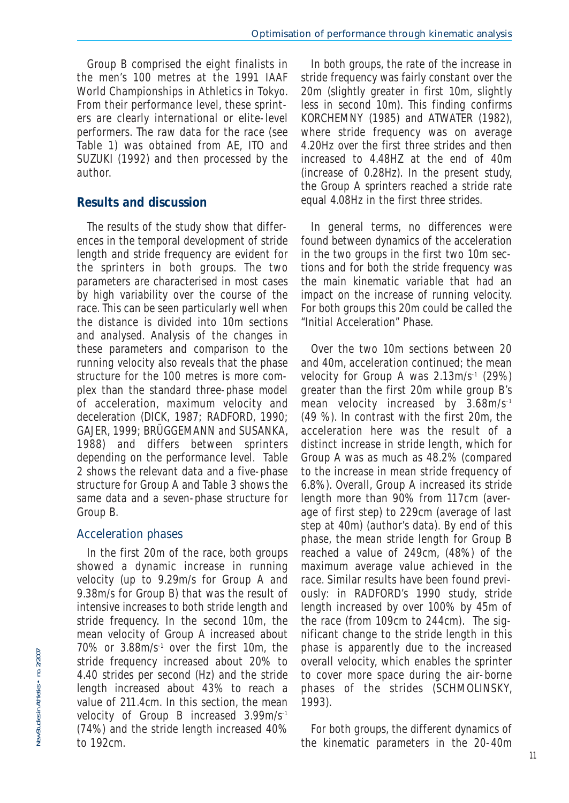Group B comprised the eight finalists in the men's 100 metres at the 1991 IAAF World Championships in Athletics in Tokyo. From their performance level, these sprinters are clearly international or elite-level performers. The raw data for the race (see Table 1) was obtained from AE, ITO and SUZUKI (1992) and then processed by the author.

## **Results and discussion**

The results of the study show that differences in the temporal development of stride length and stride frequency are evident for the sprinters in both groups. The two parameters are characterised in most cases by high variability over the course of the race. This can be seen particularly well when the distance is divided into 10m sections and analysed. Analysis of the changes in these parameters and comparison to the running velocity also reveals that the phase structure for the 100 metres is more complex than the standard three-phase model of acceleration, maximum velocity and deceleration (DICK, 1987; RADFORD, 1990; GAJER, 1999; BRÜGGEMANN and SUSANKA, 1988) and differs between sprinters depending on the performance level. Table 2 shows the relevant data and a five-phase structure for Group A and Table 3 shows the same data and a seven-phase structure for Group B.

### Acceleration phases

In the first 20m of the race, both groups showed a dynamic increase in running velocity (up to 9.29m/s for Group A and 9.38m/s for Group B) that was the result of intensive increases to both stride length and stride frequency. In the second 10m, the mean velocity of Group A increased about 70% or 3.88m/s-1 over the first 10m, the stride frequency increased about 20% to 4.40 strides per second (Hz) and the stride length increased about 43% to reach a value of 211.4cm. In this section, the mean velocity of Group B increased 3.99m/s-1 (74%) and the stride length increased 40% to 192cm.

In both groups, the rate of the increase in stride frequency was fairly constant over the 20m (slightly greater in first 10m, slightly less in second 10m). This finding confirms KORCHEMNY (1985) and ATWATER (1982), where stride frequency was on average 4.20Hz over the first three strides and then increased to 4.48HZ at the end of 40m (increase of 0.28Hz). In the present study, the Group A sprinters reached a stride rate equal 4.08Hz in the first three strides.

In general terms, no differences were found between dynamics of the acceleration in the two groups in the first two 10m sections and for both the stride frequency was the main kinematic variable that had an impact on the increase of running velocity. For both groups this 20m could be called the "Initial Acceleration" Phase.

Over the two 10m sections between 20 and 40m, acceleration continued; the mean velocity for Group A was 2.13m/s-1 (29%) greater than the first 20m while group B's mean velocity increased by 3.68m/s-1 (49 %). In contrast with the first 20m, the acceleration here was the result of a distinct increase in stride length, which for Group A was as much as 48.2% (compared to the increase in mean stride frequency of 6.8%). Overall, Group A increased its stride length more than 90% from 117cm (average of first step) to 229cm (average of last step at 40m) (author's data). By end of this phase, the mean stride length for Group B reached a value of 249cm, (48%) of the maximum average value achieved in the race. Similar results have been found previously: in RADFORD's 1990 study, stride length increased by over 100% by 45m of the race (from 109cm to 244cm). The significant change to the stride length in this phase is apparently due to the increased overall velocity, which enables the sprinter to cover more space during the air-borne phases of the strides (SCHMOLINSKY, 1993).

For both groups, the different dynamics of the kinematic parameters in the 20-40m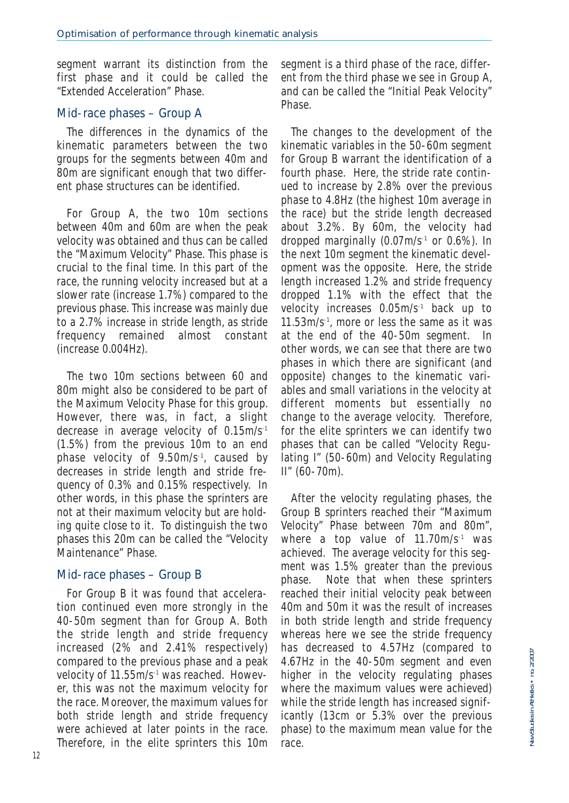segment warrant its distinction from the first phase and it could be called the "Extended Acceleration" Phase.

### Mid-race phases – Group A

The differences in the dynamics of the kinematic parameters between the two groups for the segments between 40m and 80m are significant enough that two different phase structures can be identified.

For Group A, the two 10m sections between 40m and 60m are when the peak velocity was obtained and thus can be called the "Maximum Velocity" Phase. This phase is crucial to the final time. In this part of the race, the running velocity increased but at a slower rate (increase 1.7%) compared to the previous phase. This increase was mainly due to a 2.7% increase in stride length, as stride frequency remained almost constant (increase 0.004Hz).

The two 10m sections between 60 and 80m might also be considered to be part of the Maximum Velocity Phase for this group. However, there was, in fact, a slight decrease in average velocity of 0.15m/s-1 (1.5%) from the previous 10m to an end phase velocity of 9.50m/s-1, caused by decreases in stride length and stride frequency of 0.3% and 0.15% respectively. In other words, in this phase the sprinters are not at their maximum velocity but are holding quite close to it. To distinguish the two phases this 20m can be called the "Velocity Maintenance" Phase.

### Mid-race phases – Group B

For Group B it was found that acceleration continued even more strongly in the 40-50m segment than for Group A. Both the stride length and stride frequency increased (2% and 2.41% respectively) compared to the previous phase and a peak velocity of 11.55m/s-1 was reached. However, this was not the maximum velocity for the race. Moreover, the maximum values for both stride length and stride frequency were achieved at later points in the race. Therefore, in the elite sprinters this 10m segment is a third phase of the race, different from the third phase we see in Group A, and can be called the "Initial Peak Velocity" Phase.

The changes to the development of the kinematic variables in the 50-60m segment for Group B warrant the identification of a fourth phase. Here, the stride rate continued to increase by 2.8% over the previous phase to 4.8Hz (the highest 10m average in the race) but the stride length decreased about 3.2%. By 60m, the velocity had dropped marginally (0.07m/s-1 or 0.6%). In the next 10m segment the kinematic development was the opposite. Here, the stride length increased 1.2% and stride frequency dropped 1.1% with the effect that the velocity increases 0.05m/s-1 back up to 11.53m/s-1, more or less the same as it was at the end of the 40-50m segment. In other words, we can see that there are two phases in which there are significant (and opposite) changes to the kinematic variables and small variations in the velocity at different moments but essentially no change to the average velocity. Therefore, for the elite sprinters we can identify two phases that can be called "Velocity Regulating I" (50-60m) and Velocity Regulating II" (60-70m).

After the velocity regulating phases, the Group B sprinters reached their "Maximum Velocity" Phase between 70m and 80m", where a top value of 11.70m/s<sup>-1</sup> was achieved. The average velocity for this segment was 1.5% greater than the previous phase. Note that when these sprinters reached their initial velocity peak between 40m and 50m it was the result of increases in both stride length and stride frequency whereas here we see the stride frequency has decreased to 4.57Hz (compared to 4.67Hz in the 40-50m segment and even higher in the velocity regulating phases where the maximum values were achieved) while the stride length has increased significantly (13cm or 5.3% over the previous phase) to the maximum mean value for the race.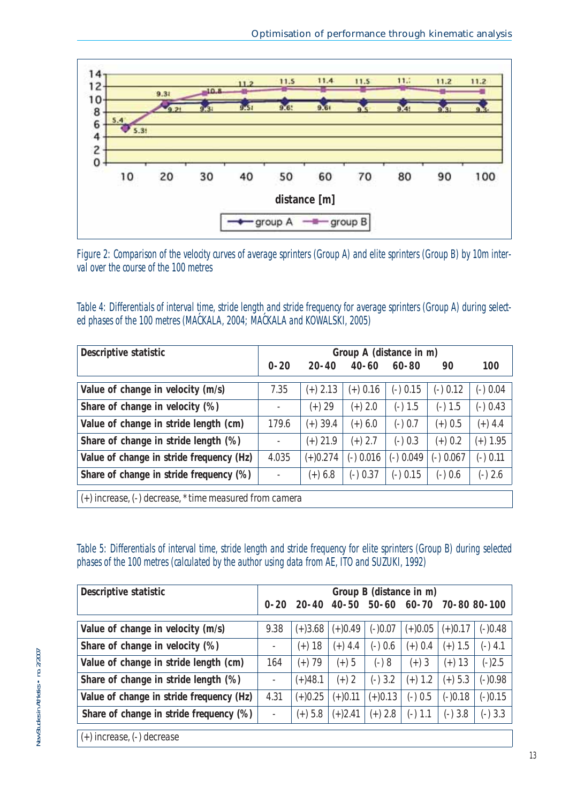

Figure 2: Comparison of the velocity curves of average sprinters (Group A) and elite sprinters (Group B) by 10m interval over the course of the 100 metres

Table 4: Differentials of interval time, stride length and stride frequency for average sprinters (Group A) during selected phases of the 100 metres (MACKALA, 2004; MACKALA and KOWALSKI, 2005) **´ ´**

| Descriptive statistic                                         | Group A (distance in m)  |            |           |           |             |            |  |  |  |
|---------------------------------------------------------------|--------------------------|------------|-----------|-----------|-------------|------------|--|--|--|
|                                                               | $0 - 20$                 | $20 - 40$  | $40 - 60$ | $60 - 80$ | 90          | 100        |  |  |  |
| Value of change in velocity (m/s)                             | 7.35                     | $(+)$ 2.13 | (+) 0.16  | (-) 0.15  | $(-)$ 0.12  | $(-)$ 0.04 |  |  |  |
| Share of change in velocity (%)                               | $\overline{\phantom{a}}$ | (+) 29     | $(+)$ 2.0 | $(-) 1.5$ | (-) 1.5     | (-) 0.43   |  |  |  |
| Value of change in stride length (cm)                         | 179.6                    | (+) 39.4   | (+) 6.0   | (-) 0.7   | $(+)$ 0.5   | $(+)$ 4.4  |  |  |  |
| Share of change in stride length (%)                          | $\overline{\phantom{a}}$ | (+) 21.9   | $(+)$ 2.7 | $(-)0.3$  | $(+)$ 0.2   | $(+)$ 1.95 |  |  |  |
| Value of change in stride frequency (Hz)                      | 4.035                    | $(+)0.274$ | (-) 0.016 | (-) 0.049 | $(-)$ 0.067 | $(-)$ 0.11 |  |  |  |
| Share of change in stride frequency (%)                       | $\overline{\phantom{a}}$ | $(+) 6.8$  | (-) 0.37  | (-) 0.15  | (-) 0.6     | $(-)2.6$   |  |  |  |
| $(+)$ increase, $(-)$ decrease, $*$ time measured from camera |                          |            |           |           |             |            |  |  |  |

Table 5: Differentials of interval time, stride length and stride frequency for elite sprinters (Group B) during selected phases of the 100 metres (calculated by the author using data from AE, ITO and SUZUKI, 1992)

| Descriptive statistic                    |                | Group B (distance in m) |           |           |           |                          |           |  |  |
|------------------------------------------|----------------|-------------------------|-----------|-----------|-----------|--------------------------|-----------|--|--|
|                                          | $0 - 20$       | $20 - 40$               | $40 - 50$ |           |           | 50-60 60-70 70-80 80-100 |           |  |  |
| Value of change in velocity (m/s)        | 9.38           | $(+)3.68$               | $(+)0.49$ | $(-)0.07$ | $(+)0.05$ | $(+)0.17$                | (-)0.48   |  |  |
| Share of change in velocity (%)          |                | -18<br>$(+)$            | $(+)$ 4.4 | $(-)$ 0.6 | $(+) 0.4$ | $(+)$ 1.5                | (-) 4.1   |  |  |
| Value of change in stride length (cm)    | 164            | (+) 79                  | $(+)5$    | (-) 8     | $(+)3$    | (+) 13                   | (-)2.5    |  |  |
| Share of change in stride length (%)     | $\overline{a}$ | $(+)48.1$               | $(+)2$    | $(-)3.2$  | $(+) 1.2$ | $(+)$ 5.3                | $(-)0.98$ |  |  |
| Value of change in stride frequency (Hz) | 4.31           | $(+)0.25$               | $(+)0.11$ | $(+)0.13$ | (-) 0.5   | $(-)0.18$                | $(-)0.15$ |  |  |
| Share of change in stride frequency (%)  | ٠              | $(+) 5.8$               | $(+)2.41$ | $(+)$ 2.8 | (-) 1.1   | $(-)3.8$                 | $(-)3.3$  |  |  |
| $(+)$ increase, $(-)$ decrease           |                |                         |           |           |           |                          |           |  |  |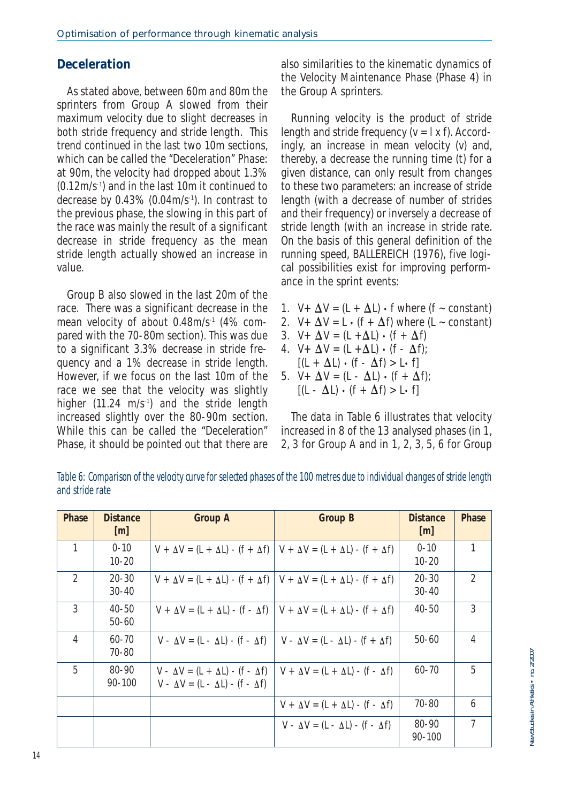## **Deceleration**

As stated above, between 60m and 80m the sprinters from Group A slowed from their maximum velocity due to slight decreases in both stride frequency and stride length. This trend continued in the last two 10m sections, which can be called the "Deceleration" Phase: at 90m, the velocity had dropped about 1.3% (0.12m/s-1) and in the last 10m it continued to decrease by 0.43% (0.04m/s-1). In contrast to the previous phase, the slowing in this part of the race was mainly the result of a significant decrease in stride frequency as the mean stride length actually showed an increase in value.

Group B also slowed in the last 20m of the race. There was a significant decrease in the mean velocity of about 0.48m/s<sup>-1</sup> (4% compared with the 70-80m section). This was due to a significant 3.3% decrease in stride frequency and a 1% decrease in stride length. However, if we focus on the last 10m of the race we see that the velocity was slightly higher (11.24  $m/s^{-1}$ ) and the stride length increased slightly over the 80-90m section. While this can be called the "Deceleration" Phase, it should be pointed out that there are

also similarities to the kinematic dynamics of the Velocity Maintenance Phase (Phase 4) in the Group A sprinters.

Running velocity is the product of stride length and stride frequency  $(v = | x f)$ . Accordingly, an increase in mean velocity (v) and, thereby, a decrease the running time (t) for a given distance, can only result from changes to these two parameters: an increase of stride length (with a decrease of number of strides and their frequency) or inversely a decrease of stride length (with an increase in stride rate. On the basis of this general definition of the running speed, BALLEREICH (1976), five logical possibilities exist for improving performance in the sprint events:

- 1.  $V + \Delta V = (L + \Delta L) \cdot f$  where  $(f \sim constant)$
- 2.  $V + \Delta V = L \cdot (f + \Delta f)$  where  $(L \sim constant)$
- 3.  $V + \Delta V = (L + \Delta L) \cdot (f + \Delta f)$
- 4.  $V + \Delta V = (L + \Delta L) \cdot (f \Delta f);$
- $[(L + \Delta L) \cdot (f \Delta f) > L \cdot f]$ 5.  $V + \Delta V = (L - \Delta L) \cdot (f + \Delta f)$ ;  $[(L - \Delta L) \cdot (f + \Delta f) > L \cdot f]$

The data in Table 6 illustrates that velocity increased in 8 of the 13 analysed phases (in 1, 2, 3 for Group A and in 1, 2, 3, 5, 6 for Group

| Phase          | <b>Distance</b><br>[m] | Group A                                          | Group B                                                                                             | <b>Distance</b><br>$\lceil m \rceil$ | Phase          |
|----------------|------------------------|--------------------------------------------------|-----------------------------------------------------------------------------------------------------|--------------------------------------|----------------|
| 1              | $0 - 10$<br>$10 - 20$  |                                                  | $V + \Delta V = (L + \Delta L) - (f + \Delta f)$ $V + \Delta V = (L + \Delta L) - (f + \Delta f)$   | $0 - 10$                             | 1              |
|                |                        |                                                  |                                                                                                     | $10 - 20$                            |                |
| $\mathfrak{D}$ | $20 - 30$              |                                                  | $V + \Delta V = (L + \Delta L) - (f + \Delta f)$ $V + \Delta V = (L + \Delta L) - (f + \Delta f)$   | $20 - 30$                            | $\mathfrak{D}$ |
|                | $30 - 40$              |                                                  |                                                                                                     | $30 - 40$                            |                |
| $\mathcal{S}$  | 40-50                  |                                                  | $V + \Delta V = (L + \Delta L) - (f - \Delta f)$   $V + \Delta V = (L + \Delta L) - (f + \Delta f)$ | $40 - 50$                            | 3              |
|                | $50 - 60$              |                                                  |                                                                                                     |                                      |                |
| $\overline{4}$ | $60 - 70$              | $V - \Delta V = (L - \Delta L) - (f - \Delta f)$ | $V - \Delta V = (L - \Delta L) - (f + \Delta f)$                                                    | $50 - 60$                            | 4              |
|                | $70 - 80$              |                                                  |                                                                                                     |                                      |                |
| 5              | 80-90                  | $V - \Delta V = (L + \Delta L) - (f - \Delta f)$ | $V + \Delta V = (L + \Delta L) - (f - \Delta f)$                                                    | $60 - 70$                            | 5              |
|                | $90 - 100$             | $V - \Delta V = (L - \Delta L) - (f - \Delta f)$ |                                                                                                     |                                      |                |
|                |                        |                                                  | $V + \Delta V = (L + \Delta L) - (f - \Delta f)$                                                    | 70-80                                | 6              |
|                |                        |                                                  | $V - \Delta V = (L - \Delta L) - (f - \Delta f)$                                                    | $80 - 90$                            | 7              |
|                |                        |                                                  |                                                                                                     | $90 - 100$                           |                |

Table 6: Comparison of the velocity curve for selected phases of the 100 metres due to individual changes of stride length and stride rate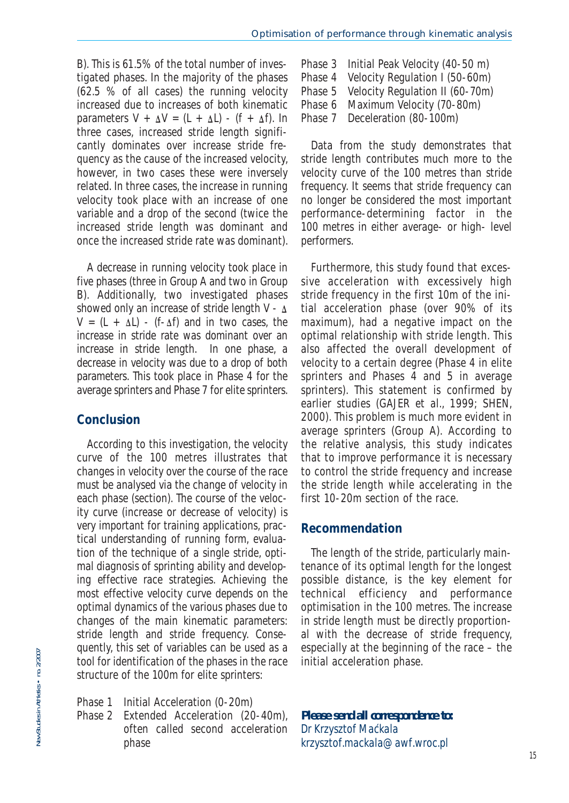B). This is 61.5% of the total number of investigated phases. In the majority of the phases (62.5 % of all cases) the running velocity increased due to increases of both kinematic parameters  $V + \Delta V = (L + \Delta L) - (f + \Delta f)$ . In three cases, increased stride length significantly dominates over increase stride frequency as the cause of the increased velocity, however, in two cases these were inversely related. In three cases, the increase in running velocity took place with an increase of one variable and a drop of the second (twice the increased stride length was dominant and once the increased stride rate was dominant).

A decrease in running velocity took place in five phases (three in Group A and two in Group B). Additionally, two investigated phases showed only an increase of stride length  $V - \Delta$  $V = (L + \Delta L) - (f - \Delta f)$  and in two cases, the increase in stride rate was dominant over an increase in stride length. In one phase, a decrease in velocity was due to a drop of both parameters. This took place in Phase 4 for the average sprinters and Phase 7 for elite sprinters.

### **Conclusion**

According to this investigation, the velocity curve of the 100 metres illustrates that changes in velocity over the course of the race must be analysed via the change of velocity in each phase (section). The course of the velocity curve (increase or decrease of velocity) is very important for training applications, practical understanding of running form, evaluation of the technique of a single stride, optimal diagnosis of sprinting ability and developing effective race strategies. Achieving the most effective velocity curve depends on the optimal dynamics of the various phases due to changes of the main kinematic parameters: stride length and stride frequency. Consequently, this set of variables can be used as a tool for identification of the phases in the race structure of the 100m for elite sprinters:

- Phase 1 Initial Acceleration (0-20m)
- Phase 2 Extended Acceleration (20-40m), often called second acceleration phase

Phase 3 Initial Peak Velocity (40-50 m)<br>Phase 4 Velocity Requiation I (50-60m) Phase 4 Velocity Regulation I (50-60m)<br>Phase 5 Velocity Regulation II (60-70m) Velocity Regulation II (60-70m) Phase 6 Maximum Velocity (70-80m)<br>Phase 7 Deceleration (80-100m) Deceleration (80-100m)

Data from the study demonstrates that stride length contributes much more to the velocity curve of the 100 metres than stride frequency. It seems that stride frequency can no longer be considered the most important performance-determining factor in the 100 metres in either average- or high- level performers.

Furthermore, this study found that excessive acceleration with excessively high stride frequency in the first 10m of the initial acceleration phase (over 90% of its maximum), had a negative impact on the optimal relationship with stride length. This also affected the overall development of velocity to a certain degree (Phase 4 in elite sprinters and Phases 4 and 5 in average sprinters). This statement is confirmed by earlier studies (GAJER et al., 1999; SHEN, 2000). This problem is much more evident in average sprinters (Group A). According to the relative analysis, this study indicates that to improve performance it is necessary to control the stride frequency and increase the stride length while accelerating in the first 10-20m section of the race.

### **Recommendation**

The length of the stride, particularly maintenance of its optimal length for the longest possible distance, is the key element for technical efficiency and performance optimisation in the 100 metres. The increase in stride length must be directly proportional with the decrease of stride frequency, especially at the beginning of the race – the initial acceleration phase.

*Please send all correspondence to: Dr Krzysztof Mackala ´krzysztof.mackala@awf.wroc.pl*